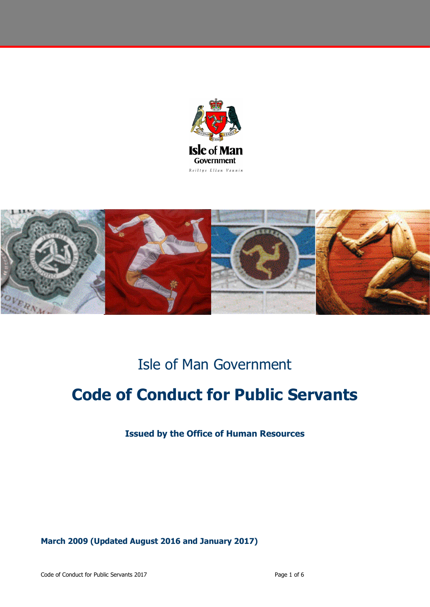



## Isle of Man Government

# **Code of Conduct for Public Servants**

**Issued by the Office of Human Resources**

**March 2009 (Updated August 2016 and January 2017)**

Code of Conduct for Public Servants 2017 **Page 1 of 6** and 2017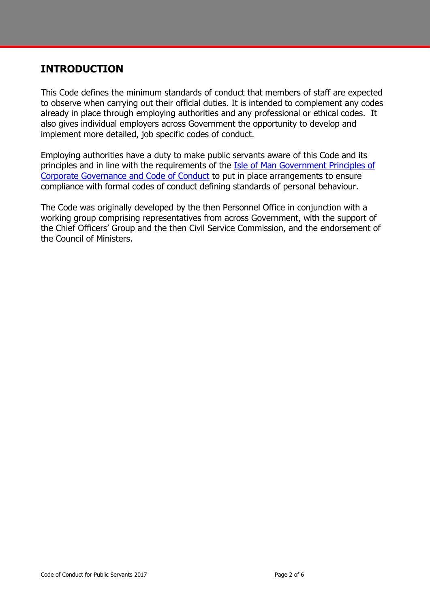### **INTRODUCTION**

This Code defines the minimum standards of conduct that members of staff are expected to observe when carrying out their official duties. It is intended to complement any codes already in place through employing authorities and any professional or ethical codes. It also gives individual employers across Government the opportunity to develop and implement more detailed, job specific codes of conduct.

Employing authorities have a duty to make public servants aware of this Code and its principles and in line with the requirements of the [Isle of Man Government Principles of](https://hr.gov.im/media/1413/corporate-governance-principles-and-code-of-conduct.pdf)  [Corporate Governance and Code of Conduct](https://hr.gov.im/media/1413/corporate-governance-principles-and-code-of-conduct.pdf) to put in place arrangements to ensure compliance with formal codes of conduct defining standards of personal behaviour.

The Code was originally developed by the then Personnel Office in conjunction with a working group comprising representatives from across Government, with the support of the Chief Officers' Group and the then Civil Service Commission, and the endorsement of the Council of Ministers.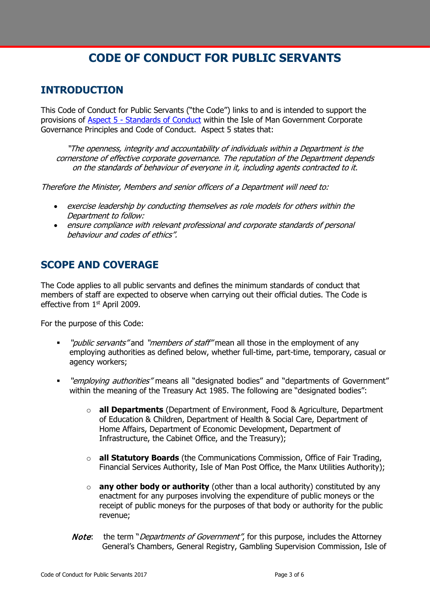## **CODE OF CONDUCT FOR PUBLIC SERVANTS**

## **INTRODUCTION**

This Code of Conduct for Public Servants ("the Code") links to and is intended to support the provisions of Aspect 5 - [Standards of Conduct](https://hr.gov.im/media/1413/corporate-governance-principles-and-code-of-conduct.pdf) within the Isle of Man Government Corporate Governance Principles and Code of Conduct. Aspect 5 states that:

"The openness, integrity and accountability of individuals within a Department is the cornerstone of effective corporate governance. The reputation of the Department depends on the standards of behaviour of everyone in it, including agents contracted to it.

Therefore the Minister, Members and senior officers of a Department will need to:

- exercise leadership by conducting themselves as role models for others within the Department to follow:
- ensure compliance with relevant professional and corporate standards of personal behaviour and codes of ethics".

## **SCOPE AND COVERAGE**

The Code applies to all public servants and defines the minimum standards of conduct that members of staff are expected to observe when carrying out their official duties. The Code is effective from 1<sup>st</sup> April 2009.

For the purpose of this Code:

- "*public servants"* and "*members of staff"* mean all those in the employment of any employing authorities as defined below, whether full-time, part-time, temporary, casual or agency workers;
- "employing authorities" means all "designated bodies" and "departments of Government" within the meaning of the Treasury Act 1985. The following are "designated bodies":
	- o **all Departments** (Department of Environment, Food & Agriculture, Department of Education & Children, Department of Health & Social Care, Department of Home Affairs, Department of Economic Development, Department of Infrastructure, the Cabinet Office, and the Treasury);
	- o **all Statutory Boards** (the Communications Commission, Office of Fair Trading, Financial Services Authority, Isle of Man Post Office, the Manx Utilities Authority);
	- o **any other body or authority** (other than a local authority) constituted by any enactment for any purposes involving the expenditure of public moneys or the receipt of public moneys for the purposes of that body or authority for the public revenue;
	- **Note:** the term "*Departments of Government"*, for this purpose, includes the Attorney General's Chambers, General Registry, Gambling Supervision Commission, Isle of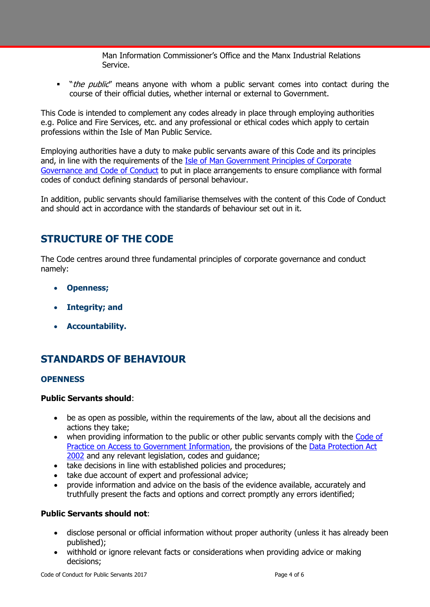Man Information Commissioner's Office and the Manx Industrial Relations Service.

" "*the public*" means anyone with whom a public servant comes into contact during the course of their official duties, whether internal or external to Government.

This Code is intended to complement any codes already in place through employing authorities e.g. Police and Fire Services, etc. and any professional or ethical codes which apply to certain professions within the Isle of Man Public Service.

Employing authorities have a duty to make public servants aware of this Code and its principles and, in line with the requirements of the **Isle of Man Government Principles of Corporate** [Governance and Code of Conduct](https://hr.gov.im/media/1413/corporate-governance-principles-and-code-of-conduct.pdf) to put in place arrangements to ensure compliance with formal codes of conduct defining standards of personal behaviour.

In addition, public servants should familiarise themselves with the content of this Code of Conduct and should act in accordance with the standards of behaviour set out in it.

### **STRUCTURE OF THE CODE**

The Code centres around three fundamental principles of corporate governance and conduct namely:

- **Openness;**
- **Integrity; and**
- **Accountability.**

## **STANDARDS OF BEHAVIOUR**

#### **OPENNESS**

#### **Public Servants should**:

- be as open as possible, within the requirements of the law, about all the decisions and actions they take;
- when providing information to the public or other public servants comply with the Code of [Practice on Access to Government Information,](https://www.gov.im/media/881974/access-code.pdf) the provisions of the [Data Protection Act](https://legislation.gov.im/cms/images/LEGISLATION/PRINCIPAL/2002/2002-0002/DataProtectionAct2002_7.pdf)  [2002](https://legislation.gov.im/cms/images/LEGISLATION/PRINCIPAL/2002/2002-0002/DataProtectionAct2002_7.pdf) and any relevant legislation, codes and guidance;
- take decisions in line with established policies and procedures;
- take due account of expert and professional advice;
- provide information and advice on the basis of the evidence available, accurately and truthfully present the facts and options and correct promptly any errors identified;

#### **Public Servants should not**:

- disclose personal or official information without proper authority (unless it has already been published);
- withhold or ignore relevant facts or considerations when providing advice or making decisions;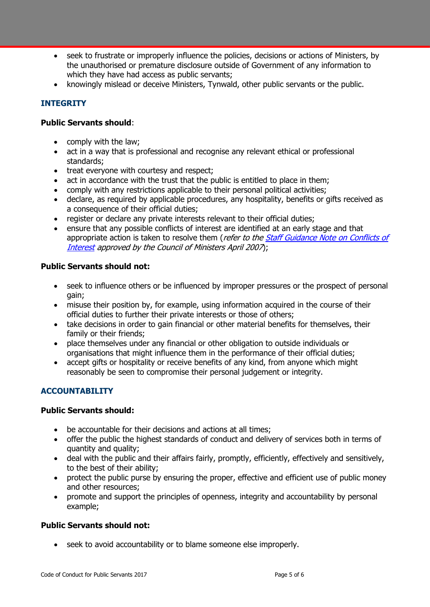- seek to frustrate or improperly influence the policies, decisions or actions of Ministers, by the unauthorised or premature disclosure outside of Government of any information to which they have had access as public servants;
- knowingly mislead or deceive Ministers, Tynwald, other public servants or the public.

#### **INTEGRITY**

#### **Public Servants should**:

- comply with the law;
- act in a way that is professional and recognise any relevant ethical or professional standards;
- treat everyone with courtesy and respect;
- act in accordance with the trust that the public is entitled to place in them;
- comply with any restrictions applicable to their personal political activities;
- declare, as required by applicable procedures, any hospitality, benefits or gifts received as a consequence of their official duties;
- register or declare any private interests relevant to their official duties;
- ensure that any possible conflicts of interest are identified at an early stage and that appropriate action is taken to resolve them (refer to the Staff Guidance Note on Conflicts of [Interest](https://www.gov.im/media/622901/conflictsofinterestguidancenot.pdf) approved by the Council of Ministers April 2007);

#### **Public Servants should not:**

- seek to influence others or be influenced by improper pressures or the prospect of personal gain;
- misuse their position by, for example, using information acquired in the course of their official duties to further their private interests or those of others;
- take decisions in order to gain financial or other material benefits for themselves, their family or their friends;
- place themselves under any financial or other obligation to outside individuals or organisations that might influence them in the performance of their official duties;
- accept gifts or hospitality or receive benefits of any kind, from anyone which might reasonably be seen to compromise their personal judgement or integrity.

#### **ACCOUNTABILITY**

#### **Public Servants should:**

- be accountable for their decisions and actions at all times;
- offer the public the highest standards of conduct and delivery of services both in terms of quantity and quality;
- deal with the public and their affairs fairly, promptly, efficiently, effectively and sensitively, to the best of their ability;
- protect the public purse by ensuring the proper, effective and efficient use of public money and other resources;
- promote and support the principles of openness, integrity and accountability by personal example;

#### **Public Servants should not:**

• seek to avoid accountability or to blame someone else improperly.